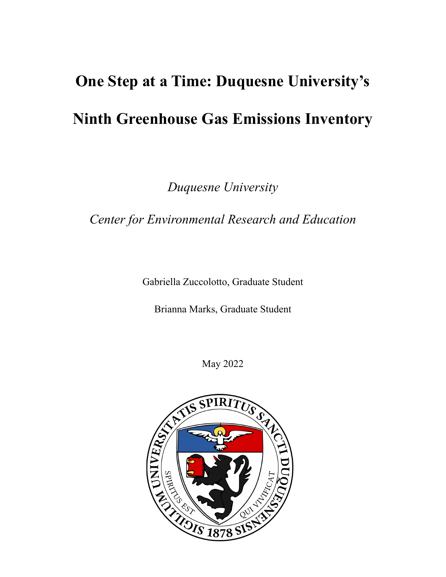# **One Step at a Time: Duquesne University's Ninth Greenhouse Gas Emissions Inventory**

*Duquesne University*

*Center for Environmental Research and Education*

Gabriella Zuccolotto, Graduate Student

Brianna Marks, Graduate Student

May 2022

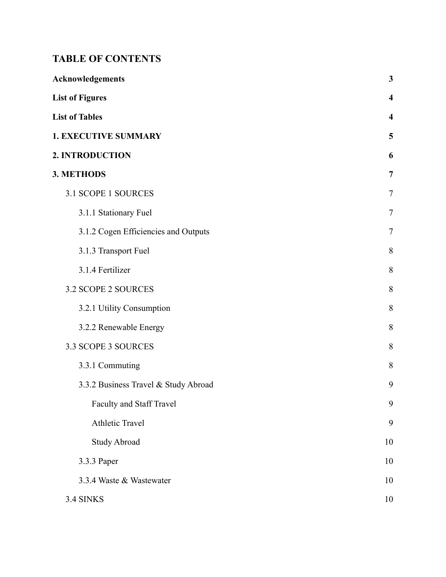## **TABLE OF CONTENTS**

| <b>Acknowledgements</b>              | $\mathbf{3}$            |
|--------------------------------------|-------------------------|
| <b>List of Figures</b>               | $\overline{\mathbf{4}}$ |
| <b>List of Tables</b>                | $\overline{\mathbf{4}}$ |
| <b>1. EXECUTIVE SUMMARY</b>          | 5                       |
| 2. INTRODUCTION                      | 6                       |
| 3. METHODS                           | $\overline{7}$          |
| 3.1 SCOPE 1 SOURCES                  | 7                       |
| 3.1.1 Stationary Fuel                | 7                       |
| 3.1.2 Cogen Efficiencies and Outputs | 7                       |
| 3.1.3 Transport Fuel                 | 8                       |
| 3.1.4 Fertilizer                     | 8                       |
| 3.2 SCOPE 2 SOURCES                  | 8                       |
| 3.2.1 Utility Consumption            | 8                       |
| 3.2.2 Renewable Energy               | 8                       |
| 3.3 SCOPE 3 SOURCES                  | 8                       |
| 3.3.1 Commuting                      | 8                       |
| 3.3.2 Business Travel & Study Abroad | 9                       |
| Faculty and Staff Travel             | 9                       |
| Athletic Travel                      | 9                       |
| <b>Study Abroad</b>                  | 10                      |
| 3.3.3 Paper                          | 10                      |
| 3.3.4 Waste & Wastewater             | 10                      |
| 3.4 SINKS                            | 10                      |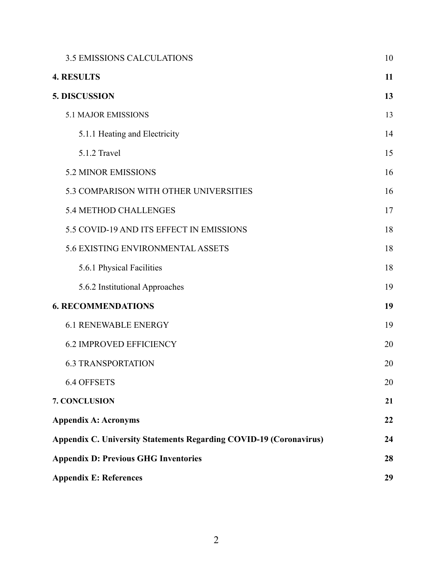| <b>3.5 EMISSIONS CALCULATIONS</b>                                         | 10 |
|---------------------------------------------------------------------------|----|
| <b>4. RESULTS</b>                                                         | 11 |
| 5. DISCUSSION                                                             | 13 |
| 5.1 MAJOR EMISSIONS                                                       | 13 |
| 5.1.1 Heating and Electricity                                             | 14 |
| 5.1.2 Travel                                                              | 15 |
| 5.2 MINOR EMISSIONS                                                       | 16 |
| 5.3 COMPARISON WITH OTHER UNIVERSITIES                                    | 16 |
| 5.4 METHOD CHALLENGES                                                     | 17 |
| 5.5 COVID-19 AND ITS EFFECT IN EMISSIONS                                  | 18 |
| 5.6 EXISTING ENVIRONMENTAL ASSETS                                         | 18 |
| 5.6.1 Physical Facilities                                                 | 18 |
| 5.6.2 Institutional Approaches                                            | 19 |
| <b>6. RECOMMENDATIONS</b>                                                 | 19 |
| <b>6.1 RENEWABLE ENERGY</b>                                               | 19 |
| <b>6.2 IMPROVED EFFICIENCY</b>                                            | 20 |
| <b>6.3 TRANSPORTATION</b>                                                 | 20 |
| <b>6.4 OFFSETS</b>                                                        | 20 |
| 7. CONCLUSION                                                             | 21 |
| <b>Appendix A: Acronyms</b>                                               | 22 |
| <b>Appendix C. University Statements Regarding COVID-19 (Coronavirus)</b> | 24 |
| <b>Appendix D: Previous GHG Inventories</b>                               | 28 |
| <b>Appendix E: References</b>                                             | 29 |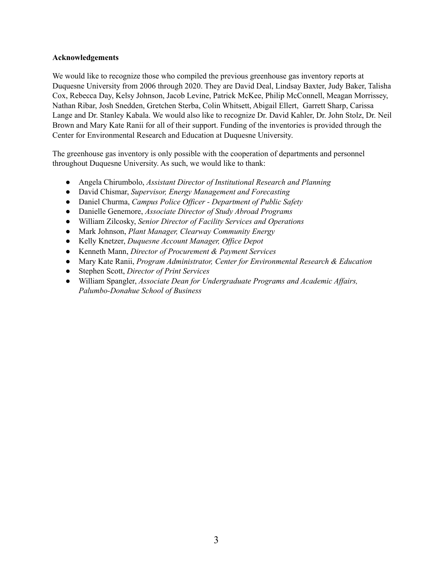#### <span id="page-3-0"></span>**Acknowledgements**

We would like to recognize those who compiled the previous greenhouse gas inventory reports at Duquesne University from 2006 through 2020. They are David Deal, Lindsay Baxter, Judy Baker, Talisha Cox, Rebecca Day, Kelsy Johnson, Jacob Levine, Patrick McKee, Philip McConnell, Meagan Morrissey, Nathan Ribar, Josh Snedden, Gretchen Sterba, Colin Whitsett, Abigail Ellert, Garrett Sharp, Carissa Lange and Dr. Stanley Kabala. We would also like to recognize Dr. David Kahler, Dr. John Stolz, Dr. Neil Brown and Mary Kate Ranii for all of their support. Funding of the inventories is provided through the Center for Environmental Research and Education at Duquesne University.

The greenhouse gas inventory is only possible with the cooperation of departments and personnel throughout Duquesne University. As such, we would like to thank:

- *●* Angela Chirumbolo, *Assistant Director of Institutional Research and Planning*
- *●* David Chismar, *Supervisor, Energy Management and Forecasting*
- Daniel Churma, *Campus Police Of icer - Department of Public Safety*
- Danielle Genemore, *Associate Director of Study Abroad Programs*
- *●* William Zilcosky, *Senior Director of Facility Services and Operations*
- Mark Johnson, *Plant Manager, Clearway Community Energy*
- *●* Kelly Knetzer, *Duquesne Account Manager, Of ice Depot*
- Kenneth Mann, *Director of Procurement & Payment Services*
- Mary Kate Ranii, *Program Administrator, Center for Environmental Research & Education*
- Stephen Scott, *Director of Print Services*
- *●* William Spangler, *Associate Dean for Undergraduate Programs and Academic Af airs, Palumbo-Donahue School of Business*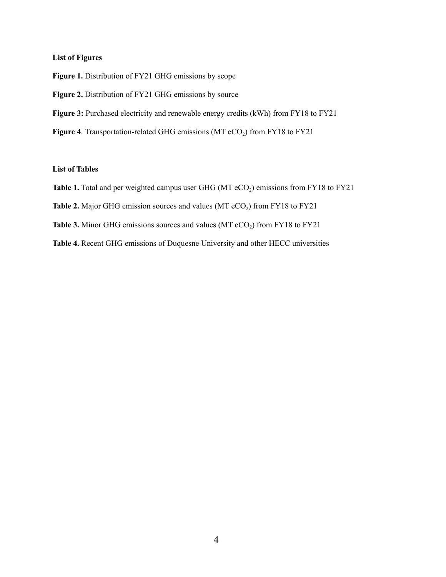#### <span id="page-4-0"></span>**List of Figures**

**Figure 1.** Distribution of FY21 GHG emissions by scope

**Figure 2.** Distribution of FY21 GHG emissions by source

**Figure 3:** Purchased electricity and renewable energy credits (kWh) from FY18 to FY21

**Figure 4**. Transportation-related GHG emissions (MT eCO<sub>2</sub>) from FY18 to FY21

#### <span id="page-4-1"></span>**List of Tables**

Table 1. Total and per weighted campus user GHG (MT eCO<sub>2</sub>) emissions from FY18 to FY21

**Table 2.** Major GHG emission sources and values (MT  $eCO<sub>2</sub>$ ) from FY18 to FY21

**Table 3.** Minor GHG emissions sources and values (MT  $eCO<sub>2</sub>$ ) from FY18 to FY21

**Table 4.** Recent GHG emissions of Duquesne University and other HECC universities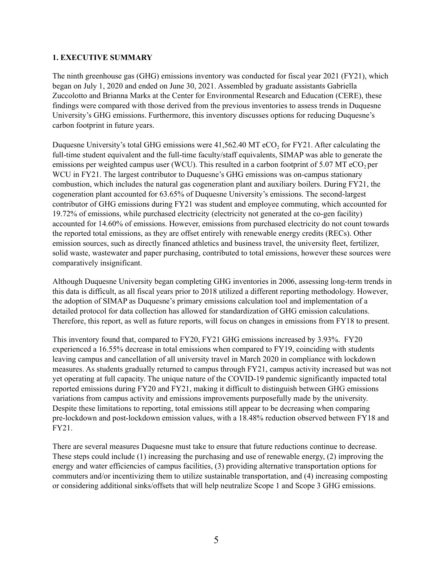#### <span id="page-5-0"></span>**1. EXECUTIVE SUMMARY**

The ninth greenhouse gas (GHG) emissions inventory was conducted for fiscal year 2021 (FY21), which began on July 1, 2020 and ended on June 30, 2021. Assembled by graduate assistants Gabriella Zuccolotto and Brianna Marks at the Center for Environmental Research and Education (CERE), these findings were compared with those derived from the previous inventories to assess trends in Duquesne University's GHG emissions. Furthermore, this inventory discusses options for reducing Duquesne's carbon footprint in future years.

Duquesne University's total GHG emissions were  $41,562.40$  MT eCO<sub>2</sub> for FY21. After calculating the full-time student equivalent and the full-time faculty/staff equivalents, SIMAP was able to generate the emissions per weighted campus user (WCU). This resulted in a carbon footprint of 5.07 MT  $eCO<sub>2</sub>$  per WCU in FY21. The largest contributor to Duquesne's GHG emissions was on-campus stationary combustion, which includes the natural gas cogeneration plant and auxiliary boilers. During FY21, the cogeneration plant accounted for 63.65% of Duquesne University's emissions. The second-largest contributor of GHG emissions during FY21 was student and employee commuting, which accounted for 19.72% of emissions, while purchased electricity (electricity not generated at the co-gen facility) accounted for 14.60% of emissions. However, emissions from purchased electricity do not count towards the reported total emissions, as they are offset entirely with renewable energy credits (RECs). Other emission sources, such as directly financed athletics and business travel, the university fleet, fertilizer, solid waste, wastewater and paper purchasing, contributed to total emissions, however these sources were comparatively insignificant.

Although Duquesne University began completing GHG inventories in 2006, assessing long-term trends in this data is difficult, as all fiscal years prior to 2018 utilized a different reporting methodology. However, the adoption of SIMAP as Duquesne's primary emissions calculation tool and implementation of a detailed protocol for data collection has allowed for standardization of GHG emission calculations. Therefore, this report, as well as future reports, will focus on changes in emissions from FY18 to present.

This inventory found that, compared to FY20, FY21 GHG emissions increased by 3.93%. FY20 experienced a 16.55% decrease in total emissions when compared to FY19, coinciding with students leaving campus and cancellation of all university travel in March 2020 in compliance with lockdown measures. As students gradually returned to campus through FY21, campus activity increased but was not yet operating at full capacity. The unique nature of the COVID-19 pandemic significantly impacted total reported emissions during FY20 and FY21, making it difficult to distinguish between GHG emissions variations from campus activity and emissions improvements purposefully made by the university. Despite these limitations to reporting, total emissions still appear to be decreasing when comparing pre-lockdown and post-lockdown emission values, with a 18.48% reduction observed between FY18 and FY21.

There are several measures Duquesne must take to ensure that future reductions continue to decrease. These steps could include (1) increasing the purchasing and use of renewable energy, (2) improving the energy and water efficiencies of campus facilities, (3) providing alternative transportation options for commuters and/or incentivizing them to utilize sustainable transportation, and (4) increasing composting or considering additional sinks/offsets that will help neutralize Scope 1 and Scope 3 GHG emissions.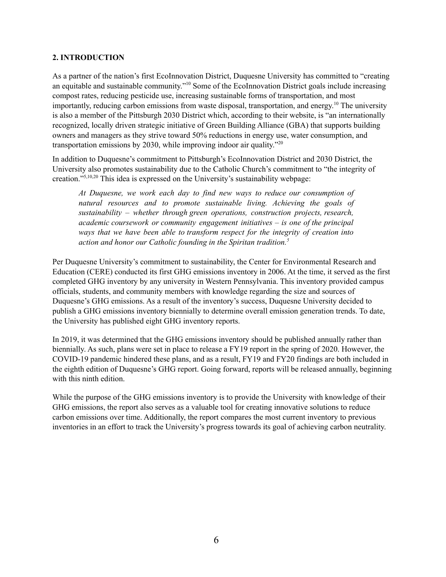#### <span id="page-6-0"></span>**2. INTRODUCTION**

As a partner of the nation's first EcoInnovation District, Duquesne University has committed to "creating an equitable and sustainable community."<sup>10</sup> Some of the EcoInnovation District goals include increasing compost rates, reducing pesticide use, increasing sustainable forms of transportation, and most importantly, reducing carbon emissions from waste disposal, transportation, and energy. <sup>10</sup> The university is also a member of the Pittsburgh 2030 District which, according to their website, is "an internationally recognized, locally driven strategic initiative of Green Building Alliance (GBA) that supports building owners and managers as they strive toward 50% reductions in energy use, water consumption, and transportation emissions by 2030, while improving indoor air quality." 20

In addition to Duquesne's commitment to Pittsburgh's EcoInnovation District and 2030 District, the University also promotes sustainability due to the Catholic Church's commitment to "the integrity of creation." 5,10,20 This idea is expressed on the University's sustainability webpage:

*At Duquesne, we work each day to find new ways to reduce our consumption of natural resources and to promote sustainable living. Achieving the goals of sustainability – whether through green operations, construction projects, research, academic coursework or community engagement initiatives – is one of the principal ways that we have been able to transform respect for the integrity of creation into action and honor our Catholic founding in the Spiritan tradition. 5*

Per Duquesne University's commitment to sustainability, the Center for Environmental Research and Education (CERE) conducted its first GHG emissions inventory in 2006. At the time, it served as the first completed GHG inventory by any university in Western Pennsylvania. This inventory provided campus officials, students, and community members with knowledge regarding the size and sources of Duquesne's GHG emissions. As a result of the inventory's success, Duquesne University decided to publish a GHG emissions inventory biennially to determine overall emission generation trends. To date, the University has published eight GHG inventory reports.

In 2019, it was determined that the GHG emissions inventory should be published annually rather than biennially. As such, plans were set in place to release a FY19 report in the spring of 2020. However, the COVID-19 pandemic hindered these plans, and as a result, FY19 and FY20 findings are both included in the eighth edition of Duquesne's GHG report. Going forward, reports will be released annually, beginning with this ninth edition.

While the purpose of the GHG emissions inventory is to provide the University with knowledge of their GHG emissions, the report also serves as a valuable tool for creating innovative solutions to reduce carbon emissions over time. Additionally, the report compares the most current inventory to previous inventories in an effort to track the University's progress towards its goal of achieving carbon neutrality.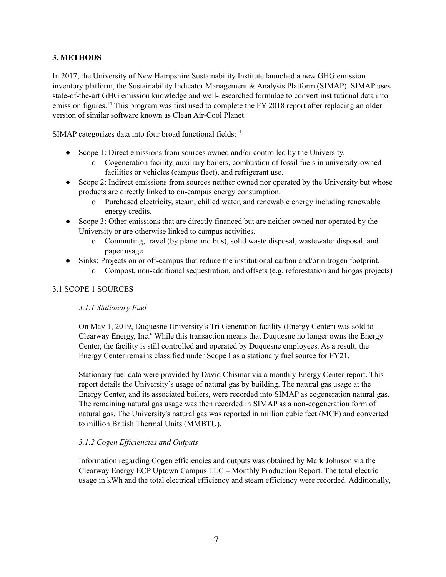## <span id="page-7-0"></span>**3. METHODS**

In 2017, the University of New Hampshire Sustainability Institute launched a new GHG emission inventory platform, the Sustainability Indicator Management & Analysis Platform (SIMAP). SIMAP uses state-of-the-art GHG emission knowledge and well-researched formulae to convert institutional data into emission figures.<sup>14</sup> This program was first used to complete the FY 2018 report after replacing an older version of similar software known as Clean Air-Cool Planet.

SIMAP categorizes data into four broad functional fields:<sup>14</sup>

- Scope 1: Direct emissions from sources owned and/or controlled by the University.
	- o Cogeneration facility, auxiliary boilers, combustion of fossil fuels in university-owned facilities or vehicles (campus fleet), and refrigerant use.
- Scope 2: Indirect emissions from sources neither owned nor operated by the University but whose products are directly linked to on-campus energy consumption.
	- o Purchased electricity, steam, chilled water, and renewable energy including renewable energy credits.
- Scope 3: Other emissions that are directly financed but are neither owned nor operated by the University or are otherwise linked to campus activities.
	- o Commuting, travel (by plane and bus), solid waste disposal, wastewater disposal, and paper usage.
	- Sinks: Projects on or off-campus that reduce the institutional carbon and/or nitrogen footprint.
		- o Compost, non-additional sequestration, and offsets (e.g. reforestation and biogas projects)

## <span id="page-7-2"></span><span id="page-7-1"></span>3.1 SCOPE 1 SOURCES

#### *3.1.1 Stationary Fuel*

On May 1, 2019, Duquesne University's Tri Generation facility (Energy Center) was sold to Clearway Energy, Inc. <sup>6</sup> While this transaction means that Duquesne no longer owns the Energy Center, the facility is still controlled and operated by Duquesne employees. As a result, the Energy Center remains classified under Scope I as a stationary fuel source for FY21.

Stationary fuel data were provided by David Chismar via a monthly Energy Center report. This report details the University's usage of natural gas by building. The natural gas usage at the Energy Center, and its associated boilers, were recorded into SIMAP as cogeneration natural gas. The remaining natural gas usage was then recorded in SIMAP as a non-cogeneration form of natural gas. The University's natural gas was reported in million cubic feet (MCF) and converted to million British Thermal Units (MMBTU).

#### <span id="page-7-3"></span>*3.1.2 Cogen Ef iciencies and Outputs*

Information regarding Cogen efficiencies and outputs was obtained by Mark Johnson via the Clearway Energy ECP Uptown Campus LLC – Monthly Production Report. The total electric usage in kWh and the total electrical efficiency and steam efficiency were recorded. Additionally,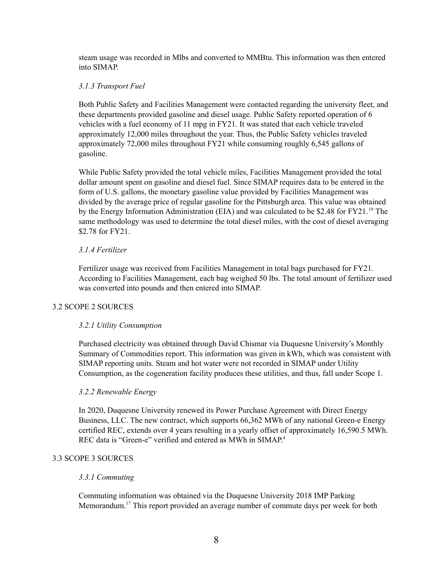steam usage was recorded in Mlbs and converted to MMBtu. This information was then entered into SIMAP.

## <span id="page-8-0"></span>*3.1.3 Transport Fuel*

Both Public Safety and Facilities Management were contacted regarding the university fleet, and these departments provided gasoline and diesel usage. Public Safety reported operation of 6 vehicles with a fuel economy of 11 mpg in FY21. It was stated that each vehicle traveled approximately 12,000 miles throughout the year. Thus, the Public Safety vehicles traveled approximately 72,000 miles throughout FY21 while consuming roughly 6,545 gallons of gasoline.

While Public Safety provided the total vehicle miles, Facilities Management provided the total dollar amount spent on gasoline and diesel fuel. Since SIMAP requires data to be entered in the form of U.S. gallons, the monetary gasoline value provided by Facilities Management was divided by the average price of regular gasoline for the Pittsburgh area. This value was obtained by the Energy Information Administration (EIA) and was calculated to be \$2.48 for FY21.<sup>19</sup> The same methodology was used to determine the total diesel miles, with the cost of diesel averaging \$2.78 for FY21.

## <span id="page-8-1"></span>*3.1.4 Fertilizer*

Fertilizer usage was received from Facilities Management in total bags purchased for FY21. According to Facilities Management, each bag weighed 50 lbs. The total amount of fertilizer used was converted into pounds and then entered into SIMAP.

## <span id="page-8-3"></span><span id="page-8-2"></span>3.2 SCOPE 2 SOURCES

## *3.2.1 Utility Consumption*

Purchased electricity was obtained through David Chismar via Duquesne University's Monthly Summary of Commodities report. This information was given in kWh, which was consistent with SIMAP reporting units. Steam and hot water were not recorded in SIMAP under Utility Consumption, as the cogeneration facility produces these utilities, and thus, fall under Scope 1.

#### <span id="page-8-4"></span>*3.2.2 Renewable Energy*

In 2020, Duquesne University renewed its Power Purchase Agreement with Direct Energy Business, LLC. The new contract, which supports 66,362 MWh of any national Green-e Energy certified REC, extends over 4 years resulting in a yearly offset of approximately 16,590.5 MWh. REC data is "Green-e" verified and entered as MWh in SIMAP.<sup>4</sup>

## <span id="page-8-6"></span><span id="page-8-5"></span>3.3 SCOPE 3 SOURCES

#### *3.3.1 Commuting*

Commuting information was obtained via the Duquesne University 2018 IMP Parking Memorandum.<sup>17</sup> This report provided an average number of commute days per week for both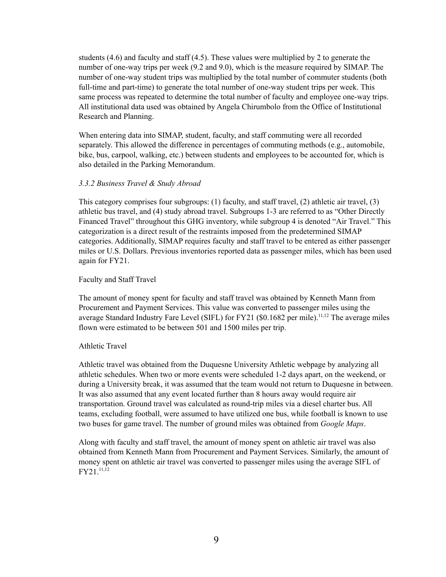students (4.6) and faculty and staff (4.5). These values were multiplied by 2 to generate the number of one-way trips per week (9.2 and 9.0), which is the measure required by SIMAP. The number of one-way student trips was multiplied by the total number of commuter students (both full-time and part-time) to generate the total number of one-way student trips per week. This same process was repeated to determine the total number of faculty and employee one-way trips. All institutional data used was obtained by Angela Chirumbolo from the Office of Institutional Research and Planning.

When entering data into SIMAP, student, faculty, and staff commuting were all recorded separately. This allowed the difference in percentages of commuting methods (e.g., automobile, bike, bus, carpool, walking, etc.) between students and employees to be accounted for, which is also detailed in the Parking Memorandum.

#### <span id="page-9-0"></span>*3.3.2 Business Travel & Study Abroad*

This category comprises four subgroups: (1) faculty, and staff travel, (2) athletic air travel, (3) athletic bus travel, and (4) study abroad travel. Subgroups 1-3 are referred to as "Other Directly Financed Travel" throughout this GHG inventory, while subgroup 4 is denoted "Air Travel." This categorization is a direct result of the restraints imposed from the predetermined SIMAP categories. Additionally, SIMAP requires faculty and staff travel to be entered as either passenger miles or U.S. Dollars. Previous inventories reported data as passenger miles, which has been used again for FY21.

#### <span id="page-9-1"></span>Faculty and Staff Travel

The amount of money spent for faculty and staff travel was obtained by Kenneth Mann from Procurement and Payment Services. This value was converted to passenger miles using the average Standard Industry Fare Level (SIFL) for FY21 (\$0.1682 per mile).<sup>11,12</sup> The average miles flown were estimated to be between 501 and 1500 miles per trip.

#### <span id="page-9-2"></span>Athletic Travel

Athletic travel was obtained from the Duquesne University Athletic webpage by analyzing all athletic schedules. When two or more events were scheduled 1-2 days apart, on the weekend, or during a University break, it was assumed that the team would not return to Duquesne in between. It was also assumed that any event located further than 8 hours away would require air transportation. Ground travel was calculated as round-trip miles via a diesel charter bus. All teams, excluding football, were assumed to have utilized one bus, while football is known to use two buses for game travel. The number of ground miles was obtained from *Google Maps*.

Along with faculty and staff travel, the amount of money spent on athletic air travel was also obtained from Kenneth Mann from Procurement and Payment Services. Similarly, the amount of money spent on athletic air travel was converted to passenger miles using the average SIFL of FY21. 11,12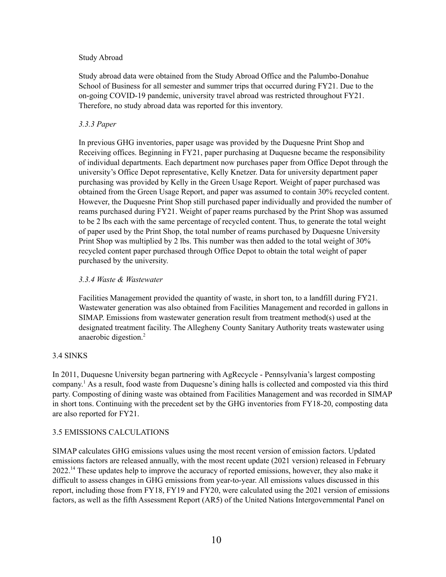#### <span id="page-10-0"></span>Study Abroad

Study abroad data were obtained from the Study Abroad Office and the Palumbo-Donahue School of Business for all semester and summer trips that occurred during FY21. Due to the on-going COVID-19 pandemic, university travel abroad was restricted throughout FY21. Therefore, no study abroad data was reported for this inventory.

### <span id="page-10-1"></span>*3.3.3 Paper*

In previous GHG inventories, paper usage was provided by the Duquesne Print Shop and Receiving offices. Beginning in FY21, paper purchasing at Duquesne became the responsibility of individual departments. Each department now purchases paper from Office Depot through the university's Office Depot representative, Kelly Knetzer. Data for university department paper purchasing was provided by Kelly in the Green Usage Report. Weight of paper purchased was obtained from the Green Usage Report, and paper was assumed to contain 30% recycled content. However, the Duquesne Print Shop still purchased paper individually and provided the number of reams purchased during FY21. Weight of paper reams purchased by the Print Shop was assumed to be 2 lbs each with the same percentage of recycled content. Thus, to generate the total weight of paper used by the Print Shop, the total number of reams purchased by Duquesne University Print Shop was multiplied by 2 lbs. This number was then added to the total weight of 30% recycled content paper purchased through Office Depot to obtain the total weight of paper purchased by the university.

## <span id="page-10-2"></span>*3.3.4 Waste & Wastewater*

Facilities Management provided the quantity of waste, in short ton, to a landfill during FY21. Wastewater generation was also obtained from Facilities Management and recorded in gallons in SIMAP. Emissions from wastewater generation result from treatment method(s) used at the designated treatment facility. The Allegheny County Sanitary Authority treats wastewater using anaerobic digestion. 2

## <span id="page-10-3"></span>3.4 SINKS

In 2011, Duquesne University began partnering with AgRecycle - Pennsylvania's largest composting company. <sup>1</sup> As a result, food waste from Duquesne's dining halls is collected and composted via this third party. Composting of dining waste was obtained from Facilities Management and was recorded in SIMAP in short tons. Continuing with the precedent set by the GHG inventories from FY18-20, composting data are also reported for FY21.

#### <span id="page-10-4"></span>3.5 EMISSIONS CALCULATIONS

SIMAP calculates GHG emissions values using the most recent version of emission factors. Updated emissions factors are released annually, with the most recent update (2021 version) released in February 2022.<sup>14</sup> These updates help to improve the accuracy of reported emissions, however, they also make it difficult to assess changes in GHG emissions from year-to-year. All emissions values discussed in this report, including those from FY18, FY19 and FY20, were calculated using the 2021 version of emissions factors, as well as the fifth Assessment Report (AR5) of the United Nations Intergovernmental Panel on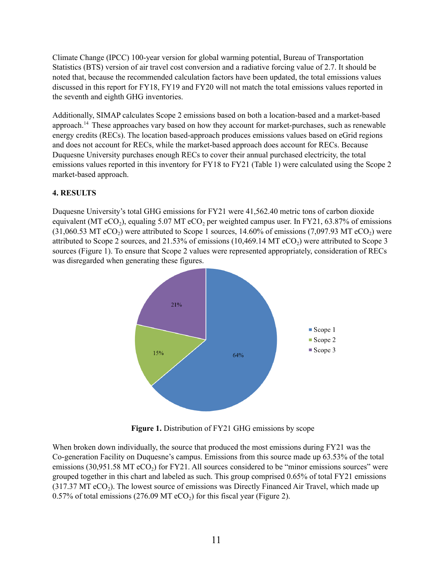Climate Change (IPCC) 100-year version for global warming potential, Bureau of Transportation Statistics (BTS) version of air travel cost conversion and a radiative forcing value of 2.7. It should be noted that, because the recommended calculation factors have been updated, the total emissions values discussed in this report for FY18, FY19 and FY20 will not match the total emissions values reported in the seventh and eighth GHG inventories.

Additionally, SIMAP calculates Scope 2 emissions based on both a location-based and a market-based approach.<sup>14</sup> These approaches vary based on how they account for market-purchases, such as renewable energy credits (RECs). The location based-approach produces emissions values based on eGrid regions and does not account for RECs, while the market-based approach does account for RECs. Because Duquesne University purchases enough RECs to cover their annual purchased electricity, the total emissions values reported in this inventory for FY18 to FY21 (Table 1) were calculated using the Scope 2 market-based approach.

## <span id="page-11-0"></span>**4. RESULTS**

Duquesne University's total GHG emissions for FY21 were 41,562.40 metric tons of carbon dioxide equivalent (MT eCO<sub>2</sub>), equaling 5.07 MT eCO<sub>2</sub> per weighted campus user. In FY21, 63.87% of emissions  $(31,060.53$  MT eCO<sub>2</sub>) were attributed to Scope 1 sources, 14.60% of emissions (7,097.93 MT eCO<sub>2</sub>) were attributed to Scope 2 sources, and  $21.53\%$  of emissions (10,469.14 MT eCO<sub>2</sub>) were attributed to Scope 3 sources (Figure 1). To ensure that Scope 2 values were represented appropriately, consideration of RECs was disregarded when generating these figures.



**Figure 1.** Distribution of FY21 GHG emissions by scope

When broken down individually, the source that produced the most emissions during FY21 was the Co-generation Facility on Duquesne's campus. Emissions from this source made up 63.53% of the total emissions (30,951.58 MT  $eCO<sub>2</sub>$ ) for FY21. All sources considered to be "minor emissions sources" were grouped together in this chart and labeled as such. This group comprised 0.65% of total FY21 emissions  $(317.37 \text{ MT } eCO<sub>2</sub>)$ . The lowest source of emissions was Directly Financed Air Travel, which made up 0.57% of total emissions (276.09 MT  $eCO<sub>2</sub>$ ) for this fiscal year (Figure 2).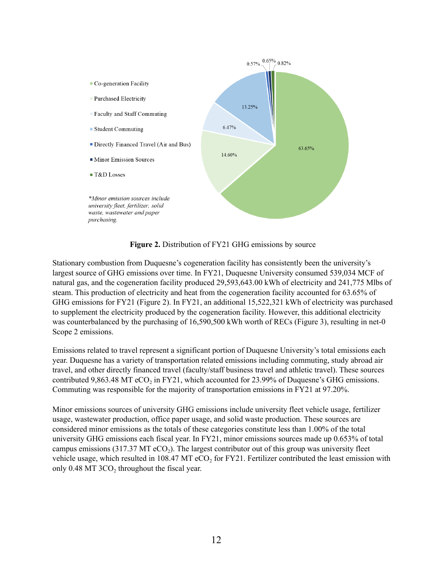

**Figure 2.** Distribution of FY21 GHG emissions by source

Stationary combustion from Duquesne's cogeneration facility has consistently been the university's largest source of GHG emissions over time. In FY21, Duquesne University consumed 539,034 MCF of natural gas, and the cogeneration facility produced 29,593,643.00 kWh of electricity and 241,775 Mlbs of steam. This production of electricity and heat from the cogeneration facility accounted for 63.65% of GHG emissions for FY21 (Figure 2). In FY21, an additional 15,522,321 kWh of electricity was purchased to supplement the electricity produced by the cogeneration facility. However, this additional electricity was counterbalanced by the purchasing of 16,590,500 kWh worth of RECs (Figure 3), resulting in net-0 Scope 2 emissions.

Emissions related to travel represent a significant portion of Duquesne University's total emissions each year. Duquesne has a variety of transportation related emissions including commuting, study abroad air travel, and other directly financed travel (faculty/staff business travel and athletic travel). These sources contributed 9,863.48 MT  $eCO<sub>2</sub>$  in FY21, which accounted for 23.99% of Duquesne's GHG emissions. Commuting was responsible for the majority of transportation emissions in FY21 at 97.20%.

Minor emissions sources of university GHG emissions include university fleet vehicle usage, fertilizer usage, wastewater production, office paper usage, and solid waste production. These sources are considered minor emissions as the totals of these categories constitute less than 1.00% of the total university GHG emissions each fiscal year. In FY21, minor emissions sources made up 0.653% of total campus emissions (317.37 MT  $eCO<sub>2</sub>$ ). The largest contributor out of this group was university fleet vehicle usage, which resulted in 108.47 MT  $eCO<sub>2</sub>$  for FY21. Fertilizer contributed the least emission with only  $0.48$  MT  $3CO<sub>2</sub>$  throughout the fiscal year.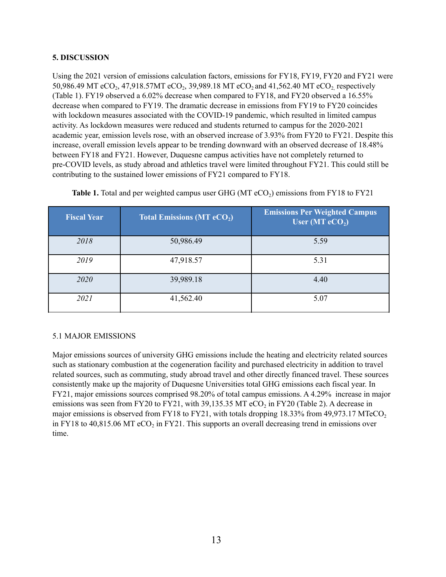## <span id="page-13-0"></span>**5. DISCUSSION**

Using the 2021 version of emissions calculation factors, emissions for FY18, FY19, FY20 and FY21 were 50,986.49 MT eCO<sub>2</sub>, 47,918.57MT eCO<sub>2</sub>, 39,989.18 MT eCO<sub>2</sub> and 41,562.40 MT eCO<sub>2</sub>, respectively (Table 1). FY19 observed a 6.02% decrease when compared to FY18, and FY20 observed a 16.55% decrease when compared to FY19. The dramatic decrease in emissions from FY19 to FY20 coincides with lockdown measures associated with the COVID-19 pandemic, which resulted in limited campus activity. As lockdown measures were reduced and students returned to campus for the 2020-2021 academic year, emission levels rose, with an observed increase of 3.93% from FY20 to FY21. Despite this increase, overall emission levels appear to be trending downward with an observed decrease of 18.48% between FY18 and FY21. However, Duquesne campus activities have not completely returned to pre-COVID levels, as study abroad and athletics travel were limited throughout FY21. This could still be contributing to the sustained lower emissions of FY21 compared to FY18.

| <b>Fiscal Year</b> | <b>Total Emissions (MT eCO<sub>2</sub>)</b> | <b>Emissions Per Weighted Campus</b><br>User (MT $eCO2$ ) |
|--------------------|---------------------------------------------|-----------------------------------------------------------|
| 2018               | 50,986.49                                   | 5.59                                                      |
| 2019               | 47,918.57                                   | 5.31                                                      |
| 2020               | 39,989.18                                   | 4.40                                                      |
| 2021               | 41,562.40                                   | 5.07                                                      |

**Table 1.** Total and per weighted campus user GHG (MT eCO<sub>2</sub>) emissions from FY18 to FY21

## <span id="page-13-1"></span>5.1 MAJOR EMISSIONS

Major emissions sources of university GHG emissions include the heating and electricity related sources such as stationary combustion at the cogeneration facility and purchased electricity in addition to travel related sources, such as commuting, study abroad travel and other directly financed travel. These sources consistently make up the majority of Duquesne Universities total GHG emissions each fiscal year. In FY21, major emissions sources comprised 98.20% of total campus emissions. A 4.29% increase in major emissions was seen from FY20 to FY21, with 39,135.35 MT eCO<sub>2</sub> in FY20 (Table 2). A decrease in major emissions is observed from FY18 to FY21, with totals dropping  $18.33\%$  from 49,973.17 MTeCO<sub>2</sub> in FY18 to 40,815.06 MT eCO<sub>2</sub> in FY21. This supports an overall decreasing trend in emissions over time.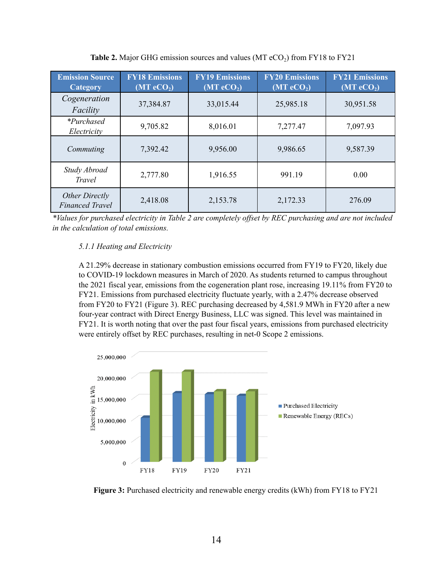| <b>Emission Source</b><br>Category       | <b>FY18 Emissions</b><br>$(MT \, eCO2)$ | <b>FY19 Emissions</b><br>$(MT \, eCO2)$ | <b>FY20 Emissions</b><br>$(MT \t{e}CO2)$ | <b>FY21 Emissions</b><br>$(MT \t{e} \overline{\text{CO}_2})$ |
|------------------------------------------|-----------------------------------------|-----------------------------------------|------------------------------------------|--------------------------------------------------------------|
| Cogeneration<br>Facility                 | 37,384.87                               | 33,015.44                               | 25,985.18                                | 30,951.58                                                    |
| <i>*Purchased</i><br>Electricity         | 9,705.82                                | 8,016.01                                | 7,277.47                                 | 7,097.93                                                     |
| Commuting                                | 7,392.42                                | 9,956.00                                | 9,986.65                                 | 9,587.39                                                     |
| Study Abroad<br><b>Travel</b>            | 2,777.80                                | 1,916.55                                | 991.19                                   | 0.00                                                         |
| Other Directly<br><b>Financed Travel</b> | 2,418.08                                | 2,153.78                                | 2,172.33                                 | 276.09                                                       |

**Table 2.** Major GHG emission sources and values (MT  $eCO<sub>2</sub>$ ) from FY18 to FY21

\*Values for purchased electricity in Table 2 are completely offset by REC purchasing and are not included *in the calculation of total emissions.*

## <span id="page-14-0"></span>*5.1.1 Heating and Electricity*

A 21.29% decrease in stationary combustion emissions occurred from FY19 to FY20, likely due to COVID-19 lockdown measures in March of 2020. As students returned to campus throughout the 2021 fiscal year, emissions from the cogeneration plant rose, increasing 19.11% from FY20 to FY21. Emissions from purchased electricity fluctuate yearly, with a 2.47% decrease observed from FY20 to FY21 (Figure 3). REC purchasing decreased by 4,581.9 MWh in FY20 after a new four-year contract with Direct Energy Business, LLC was signed. This level was maintained in FY21. It is worth noting that over the past four fiscal years, emissions from purchased electricity were entirely offset by REC purchases, resulting in net-0 Scope 2 emissions.



**Figure 3:** Purchased electricity and renewable energy credits (kWh) from FY18 to FY21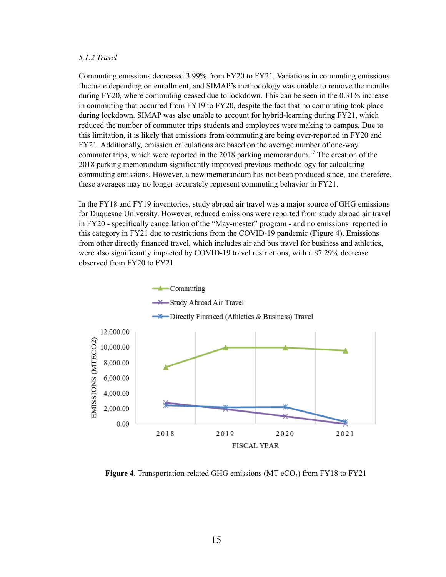#### <span id="page-15-0"></span>*5.1.2 Travel*

Commuting emissions decreased 3.99% from FY20 to FY21. Variations in commuting emissions fluctuate depending on enrollment, and SIMAP's methodology was unable to remove the months during FY20, where commuting ceased due to lockdown. This can be seen in the 0.31% increase in commuting that occurred from FY19 to FY20, despite the fact that no commuting took place during lockdown. SIMAP was also unable to account for hybrid-learning during FY21, which reduced the number of commuter trips students and employees were making to campus. Due to this limitation, it is likely that emissions from commuting are being over-reported in FY20 and FY21. Additionally, emission calculations are based on the average number of one-way commuter trips, which were reported in the 2018 parking memorandum. <sup>17</sup> The creation of the 2018 parking memorandum significantly improved previous methodology for calculating commuting emissions. However, a new memorandum has not been produced since, and therefore, these averages may no longer accurately represent commuting behavior in FY21.

In the FY18 and FY19 inventories, study abroad air travel was a major source of GHG emissions for Duquesne University. However, reduced emissions were reported from study abroad air travel in FY20 - specifically cancellation of the "May-mester" program - and no emissions reported in this category in FY21 due to restrictions from the COVID-19 pandemic (Figure 4). Emissions from other directly financed travel, which includes air and bus travel for business and athletics, were also significantly impacted by COVID-19 travel restrictions, with a 87.29% decrease observed from FY20 to FY21.



**Figure** 4. Transportation-related GHG emissions  $(MT \, eCO<sub>2</sub>)$  from FY18 to FY21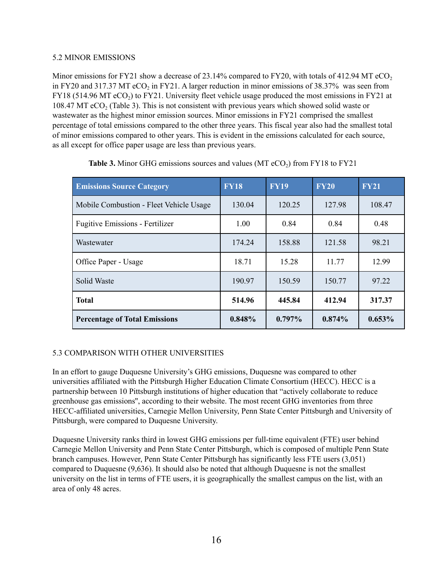## <span id="page-16-0"></span>5.2 MINOR EMISSIONS

Minor emissions for FY21 show a decrease of 23.14% compared to FY20, with totals of 412.94 MT eCO<sub>2</sub> in FY20 and 317.37 MT  $eCO<sub>2</sub>$  in FY21. A larger reduction in minor emissions of 38.37% was seen from FY18 (514.96 MT  $eCO<sub>2</sub>$ ) to FY21. University fleet vehicle usage produced the most emissions in FY21 at 108.47 MT eCO<sub>2</sub> (Table 3). This is not consistent with previous years which showed solid waste or wastewater as the highest minor emission sources. Minor emissions in FY21 comprised the smallest percentage of total emissions compared to the other three years. This fiscal year also had the smallest total of minor emissions compared to other years. This is evident in the emissions calculated for each source, as all except for office paper usage are less than previous years.

| <b>Emissions Source Category</b>        | <b>FY18</b> | <b>FY19</b> | <b>FY20</b> | <b>FY21</b> |
|-----------------------------------------|-------------|-------------|-------------|-------------|
| Mobile Combustion - Fleet Vehicle Usage | 130.04      | 120.25      | 127.98      | 108.47      |
| <b>Fugitive Emissions - Fertilizer</b>  | 1.00        | 0.84        | 0.84        | 0.48        |
| Wastewater                              | 174.24      | 158.88      | 121.58      | 98.21       |
| Office Paper - Usage                    | 18.71       | 15.28       | 11.77       | 12.99       |
| Solid Waste                             | 190.97      | 150.59      | 150.77      | 97 22       |
| <b>Total</b>                            | 514.96      | 445.84      | 412.94      | 317.37      |
| <b>Percentage of Total Emissions</b>    | 0.848%      | $0.797\%$   | $0.874\%$   | $0.653\%$   |

**Table 3.** Minor GHG emissions sources and values (MT  $eCO<sub>2</sub>$ ) from FY18 to FY21

## <span id="page-16-1"></span>5.3 COMPARISON WITH OTHER UNIVERSITIES

In an effort to gauge Duquesne University's GHG emissions, Duquesne was compared to other universities affiliated with the Pittsburgh Higher Education Climate Consortium (HECC). HECC is a partnership between 10 Pittsburgh institutions of higher education that "actively collaborate to reduce greenhouse gas emissions'', according to their website. The most recent GHG inventories from three HECC-affiliated universities, Carnegie Mellon University, Penn State Center Pittsburgh and University of Pittsburgh, were compared to Duquesne University.

Duquesne University ranks third in lowest GHG emissions per full-time equivalent (FTE) user behind Carnegie Mellon University and Penn State Center Pittsburgh, which is composed of multiple Penn State branch campuses. However, Penn State Center Pittsburgh has significantly less FTE users (3,051) compared to Duquesne (9,636). It should also be noted that although Duquesne is not the smallest university on the list in terms of FTE users, it is geographically the smallest campus on the list, with an area of only 48 acres.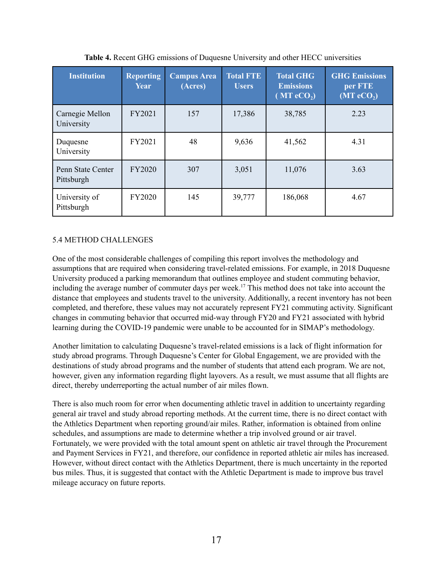| <b>Institution</b>              | <b>Reporting</b><br>Year | <b>Campus Area</b><br>(Acres) | <b>Total FTE</b><br>Users | <b>Total GHG</b><br><b>Emissions</b><br>$(MT \, eCO2)$ | <b>GHG Emissions</b><br>per FTE<br>$(MT \t{e}CO2)$ |
|---------------------------------|--------------------------|-------------------------------|---------------------------|--------------------------------------------------------|----------------------------------------------------|
| Carnegie Mellon<br>University   | FY2021                   | 157                           | 17,386                    | 38,785                                                 | 2.23                                               |
| Duquesne<br>University          | FY2021                   | 48                            | 9,636                     | 41,562                                                 | 4.31                                               |
| Penn State Center<br>Pittsburgh | <b>FY2020</b>            | 307                           | 3,051                     | 11,076                                                 | 3.63                                               |
| University of<br>Pittsburgh     | <b>FY2020</b>            | 145                           | 39,777                    | 186,068                                                | 4.67                                               |

**Table 4.** Recent GHG emissions of Duquesne University and other HECC universities

## <span id="page-17-0"></span>5.4 METHOD CHALLENGES

One of the most considerable challenges of compiling this report involves the methodology and assumptions that are required when considering travel-related emissions. For example, in 2018 Duquesne University produced a parking memorandum that outlines employee and student commuting behavior, including the average number of commuter days per week. <sup>17</sup> This method does not take into account the distance that employees and students travel to the university. Additionally, a recent inventory has not been completed, and therefore, these values may not accurately represent FY21 commuting activity. Significant changes in commuting behavior that occurred mid-way through FY20 and FY21 associated with hybrid learning during the COVID-19 pandemic were unable to be accounted for in SIMAP's methodology.

Another limitation to calculating Duquesne's travel-related emissions is a lack of flight information for study abroad programs. Through Duquesne's Center for Global Engagement, we are provided with the destinations of study abroad programs and the number of students that attend each program. We are not, however, given any information regarding flight layovers. As a result, we must assume that all flights are direct, thereby underreporting the actual number of air miles flown.

There is also much room for error when documenting athletic travel in addition to uncertainty regarding general air travel and study abroad reporting methods. At the current time, there is no direct contact with the Athletics Department when reporting ground/air miles. Rather, information is obtained from online schedules, and assumptions are made to determine whether a trip involved ground or air travel. Fortunately, we were provided with the total amount spent on athletic air travel through the Procurement and Payment Services in FY21, and therefore, our confidence in reported athletic air miles has increased. However, without direct contact with the Athletics Department, there is much uncertainty in the reported bus miles. Thus, it is suggested that contact with the Athletic Department is made to improve bus travel mileage accuracy on future reports.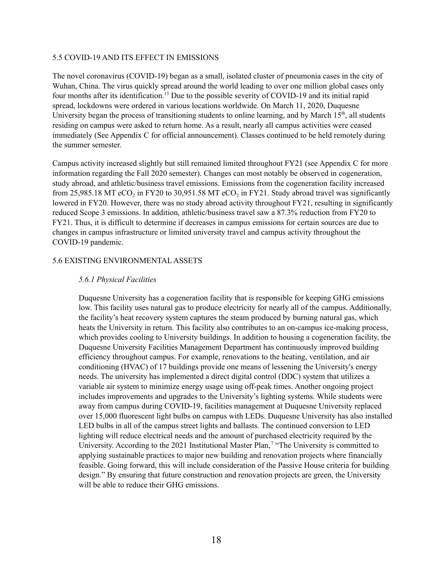#### <span id="page-18-0"></span>5.5 COVID-19 AND ITS EFFECT IN EMISSIONS

The novel coronavirus (COVID-19) began as a small, isolated cluster of pneumonia cases in the city of Wuhan, China. The virus quickly spread around the world leading to over one million global cases only four months after its identification. <sup>13</sup> Due to the possible severity of COVID-19 and its initial rapid spread, lockdowns were ordered in various locations worldwide. On March 11, 2020, Duquesne University began the process of transitioning students to online learning, and by March 15<sup>th</sup>, all students residing on campus were asked to return home. As a result, nearly all campus activities were ceased immediately (See Appendix C for official announcement). Classes continued to be held remotely during the summer semester.

Campus activity increased slightly but still remained limited throughout FY21 (see Appendix C for more information regarding the Fall 2020 semester). Changes can most notably be observed in cogeneration, study abroad, and athletic/business travel emissions. Emissions from the cogeneration facility increased from 25,985.18 MT eCO<sub>2</sub> in FY20 to 30,951.58 MT eCO<sub>2</sub> in FY21. Study abroad travel was significantly lowered in FY20. However, there was no study abroad activity throughout FY21, resulting in significantly reduced Scope 3 emissions. In addition, athletic/business travel saw a 87.3% reduction from FY20 to FY21. Thus, it is difficult to determine if decreases in campus emissions for certain sources are due to changes in campus infrastructure or limited university travel and campus activity throughout the COVID-19 pandemic.

#### <span id="page-18-2"></span><span id="page-18-1"></span>5.6 EXISTING ENVIRONMENTAL ASSETS

#### *5.6.1 Physical Facilities*

Duquesne University has a cogeneration facility that is responsible for keeping GHG emissions low. This facility uses natural gas to produce electricity for nearly all of the campus. Additionally, the facility's heat recovery system captures the steam produced by burning natural gas, which heats the University in return. This facility also contributes to an on-campus ice-making process, which provides cooling to University buildings. In addition to housing a cogeneration facility, the Duquesne University Facilities Management Department has continuously improved building efficiency throughout campus. For example, renovations to the heating, ventilation, and air conditioning (HVAC) of 17 buildings provide one means of lessening the University's energy needs. The university has implemented a direct digital control (DDC) system that utilizes a variable air system to minimize energy usage using off-peak times. Another ongoing project includes improvements and upgrades to the University's lighting systems. While students were away from campus during COVID-19, facilities management at Duquesne University replaced over 15,000 fluorescent light bulbs on campus with LEDs. Duquesne University has also installed LED bulbs in all of the campus street lights and ballasts. The continued conversion to LED lighting will reduce electrical needs and the amount of purchased electricity required by the University. According to the 2021 Institutional Master Plan,<sup>7</sup> "The University is committed to applying sustainable practices to major new building and renovation projects where financially feasible. Going forward, this will include consideration of the Passive House criteria for building design." By ensuring that future construction and renovation projects are green, the University will be able to reduce their GHG emissions.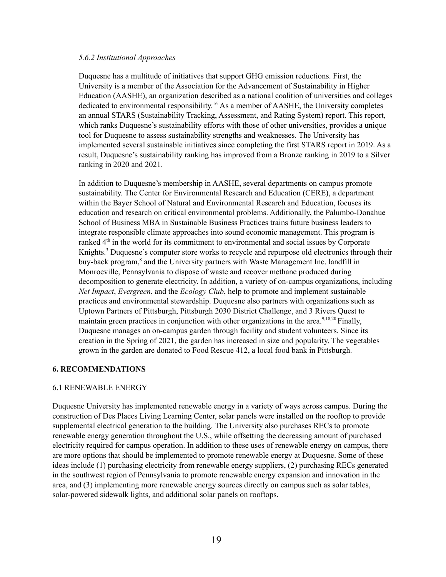#### <span id="page-19-0"></span>*5.6.2 Institutional Approaches*

Duquesne has a multitude of initiatives that support GHG emission reductions. First, the University is a member of the Association for the Advancement of Sustainability in Higher Education (AASHE), an organization described as a national coalition of universities and colleges dedicated to environmental responsibility.<sup>16</sup> As a member of AASHE, the University completes an annual STARS (Sustainability Tracking, Assessment, and Rating System) report. This report, which ranks Duquesne's sustainability efforts with those of other universities, provides a unique tool for Duquesne to assess sustainability strengths and weaknesses. The University has implemented several sustainable initiatives since completing the first STARS report in 2019. As a result, Duquesne's sustainability ranking has improved from a Bronze ranking in 2019 to a Silver ranking in 2020 and 2021.

In addition to Duquesne's membership in AASHE, several departments on campus promote sustainability. The Center for Environmental Research and Education (CERE), a department within the Bayer School of Natural and Environmental Research and Education, focuses its education and research on critical environmental problems. Additionally, the Palumbo-Donahue School of Business MBA in Sustainable Business Practices trains future business leaders to integrate responsible climate approaches into sound economic management. This program is ranked  $4<sup>th</sup>$  in the world for its commitment to environmental and social issues by Corporate Knights. <sup>3</sup> Duquesne's computer store works to recycle and repurpose old electronics through their buy-back program, <sup>8</sup> and the University partners with Waste Management Inc. landfill in Monroeville, Pennsylvania to dispose of waste and recover methane produced during decomposition to generate electricity. In addition, a variety of on-campus organizations, including *Net Impact*, *Evergreen*, and the *Ecology Club*, help to promote and implement sustainable practices and environmental stewardship. Duquesne also partners with organizations such as Uptown Partners of Pittsburgh, Pittsburgh 2030 District Challenge, and 3 Rivers Quest to maintain green practices in conjunction with other organizations in the area.<sup>9,18,20</sup> Finally, Duquesne manages an on-campus garden through facility and student volunteers. Since its creation in the Spring of 2021, the garden has increased in size and popularity. The vegetables grown in the garden are donated to Food Rescue 412, a local food bank in Pittsburgh.

#### <span id="page-19-1"></span>**6. RECOMMENDATIONS**

#### <span id="page-19-2"></span>6.1 RENEWABLE ENERGY

Duquesne University has implemented renewable energy in a variety of ways across campus. During the construction of Des Places Living Learning Center, solar panels were installed on the rooftop to provide supplemental electrical generation to the building. The University also purchases RECs to promote renewable energy generation throughout the U.S., while offsetting the decreasing amount of purchased electricity required for campus operation. In addition to these uses of renewable energy on campus, there are more options that should be implemented to promote renewable energy at Duquesne. Some of these ideas include (1) purchasing electricity from renewable energy suppliers, (2) purchasing RECs generated in the southwest region of Pennsylvania to promote renewable energy expansion and innovation in the area, and (3) implementing more renewable energy sources directly on campus such as solar tables, solar-powered sidewalk lights, and additional solar panels on rooftops.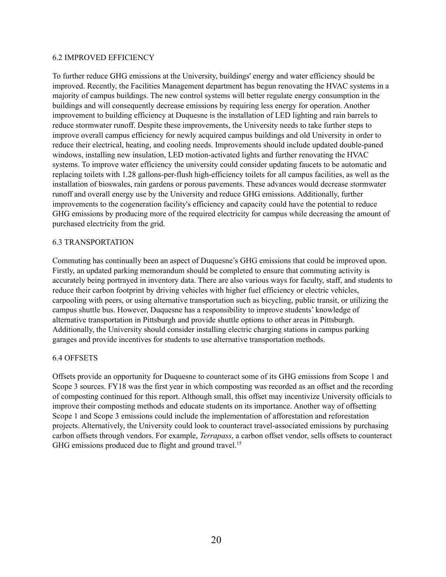#### <span id="page-20-0"></span>6.2 IMPROVED EFFICIENCY

To further reduce GHG emissions at the University, buildings' energy and water efficiency should be improved. Recently, the Facilities Management department has begun renovating the HVAC systems in a majority of campus buildings. The new control systems will better regulate energy consumption in the buildings and will consequently decrease emissions by requiring less energy for operation. Another improvement to building efficiency at Duquesne is the installation of LED lighting and rain barrels to reduce stormwater runoff. Despite these improvements, the University needs to take further steps to improve overall campus efficiency for newly acquired campus buildings and old University in order to reduce their electrical, heating, and cooling needs. Improvements should include updated double-paned windows, installing new insulation, LED motion-activated lights and further renovating the HVAC systems. To improve water efficiency the university could consider updating faucets to be automatic and replacing toilets with 1.28 gallons-per-flush high-efficiency toilets for all campus facilities, as well as the installation of bioswales, rain gardens or porous pavements. These advances would decrease stormwater runoff and overall energy use by the University and reduce GHG emissions. Additionally, further improvements to the cogeneration facility's efficiency and capacity could have the potential to reduce GHG emissions by producing more of the required electricity for campus while decreasing the amount of purchased electricity from the grid.

#### <span id="page-20-1"></span>6.3 TRANSPORTATION

Commuting has continually been an aspect of Duquesne's GHG emissions that could be improved upon. Firstly, an updated parking memorandum should be completed to ensure that commuting activity is accurately being portrayed in inventory data. There are also various ways for faculty, staff, and students to reduce their carbon footprint by driving vehicles with higher fuel efficiency or electric vehicles, carpooling with peers, or using alternative transportation such as bicycling, public transit, or utilizing the campus shuttle bus. However, Duquesne has a responsibility to improve students' knowledge of alternative transportation in Pittsburgh and provide shuttle options to other areas in Pittsburgh. Additionally, the University should consider installing electric charging stations in campus parking garages and provide incentives for students to use alternative transportation methods.

#### <span id="page-20-2"></span>6.4 OFFSETS

Offsets provide an opportunity for Duquesne to counteract some of its GHG emissions from Scope 1 and Scope 3 sources. FY18 was the first year in which composting was recorded as an offset and the recording of composting continued for this report. Although small, this offset may incentivize University officials to improve their composting methods and educate students on its importance. Another way of offsetting Scope 1 and Scope 3 emissions could include the implementation of afforestation and reforestation projects. Alternatively, the University could look to counteract travel-associated emissions by purchasing carbon offsets through vendors. For example, *Terrapass*, a carbon offset vendor, sells offsets to counteract GHG emissions produced due to flight and ground travel.<sup>15</sup>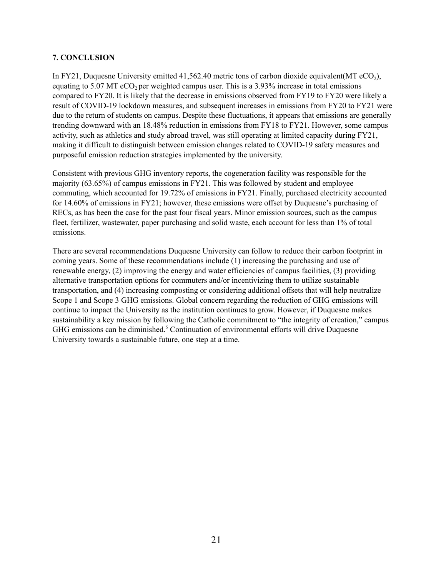### <span id="page-21-0"></span>**7. CONCLUSION**

In FY21, Duquesne University emitted 41,562.40 metric tons of carbon dioxide equivalent(MT  $eCO<sub>2</sub>$ ), equating to 5.07 MT eCO<sub>2</sub> per weighted campus user. This is a  $3.93\%$  increase in total emissions compared to FY20. It is likely that the decrease in emissions observed from FY19 to FY20 were likely a result of COVID-19 lockdown measures, and subsequent increases in emissions from FY20 to FY21 were due to the return of students on campus. Despite these fluctuations, it appears that emissions are generally trending downward with an 18.48% reduction in emissions from FY18 to FY21. However, some campus activity, such as athletics and study abroad travel, was still operating at limited capacity during FY21, making it difficult to distinguish between emission changes related to COVID-19 safety measures and purposeful emission reduction strategies implemented by the university.

Consistent with previous GHG inventory reports, the cogeneration facility was responsible for the majority (63.65%) of campus emissions in FY21. This was followed by student and employee commuting, which accounted for 19.72% of emissions in FY21. Finally, purchased electricity accounted for 14.60% of emissions in FY21; however, these emissions were offset by Duquesne's purchasing of RECs, as has been the case for the past four fiscal years. Minor emission sources, such as the campus fleet, fertilizer, wastewater, paper purchasing and solid waste, each account for less than 1% of total emissions.

There are several recommendations Duquesne University can follow to reduce their carbon footprint in coming years. Some of these recommendations include (1) increasing the purchasing and use of renewable energy, (2) improving the energy and water efficiencies of campus facilities, (3) providing alternative transportation options for commuters and/or incentivizing them to utilize sustainable transportation, and (4) increasing composting or considering additional offsets that will help neutralize Scope 1 and Scope 3 GHG emissions. Global concern regarding the reduction of GHG emissions will continue to impact the University as the institution continues to grow. However, if Duquesne makes sustainability a key mission by following the Catholic commitment to "the integrity of creation," campus GHG emissions can be diminished.<sup>5</sup> Continuation of environmental efforts will drive Duquesne University towards a sustainable future, one step at a time.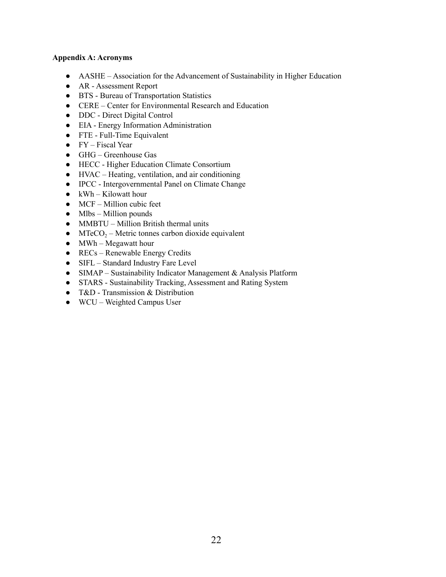#### <span id="page-22-0"></span>**Appendix A: Acronyms**

- AASHE Association for the Advancement of Sustainability in Higher Education
- AR Assessment Report
- BTS Bureau of Transportation Statistics
- CERE Center for Environmental Research and Education
- DDC Direct Digital Control
- EIA Energy Information Administration
- FTE Full-Time Equivalent
- $\bullet$  FY Fiscal Year
- GHG Greenhouse Gas
- HECC Higher Education Climate Consortium
- HVAC Heating, ventilation, and air conditioning
- IPCC Intergovernmental Panel on Climate Change
- $\bullet$  kWh Kilowatt hour
- $\bullet$  MCF Million cubic feet
- $\bullet$  Mlbs Million pounds
- MMBTU Million British thermal units
- MTeCO<sub>2</sub> Metric tonnes carbon dioxide equivalent
- MWh Megawatt hour
- $\bullet$  RECs Renewable Energy Credits
- SIFL Standard Industry Fare Level
- SIMAP Sustainability Indicator Management & Analysis Platform
- STARS Sustainability Tracking, Assessment and Rating System
- T&D Transmission & Distribution
- WCU Weighted Campus User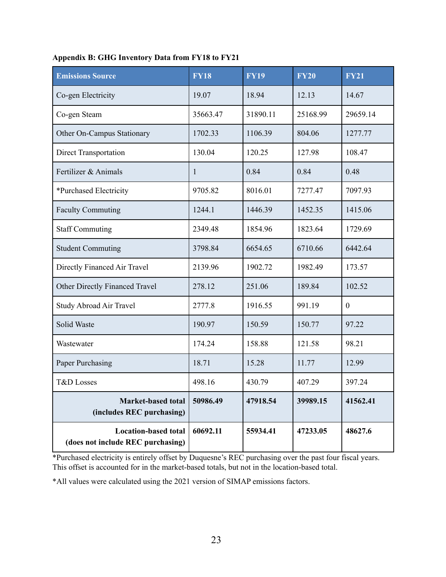| <b>Emissions Source</b>                                                                                                                       | <b>FY18</b>                                                                             | <b>FY19</b> | <b>FY20</b> | <b>FY21</b> |
|-----------------------------------------------------------------------------------------------------------------------------------------------|-----------------------------------------------------------------------------------------|-------------|-------------|-------------|
| Co-gen Electricity                                                                                                                            | 19.07                                                                                   | 18.94       | 12.13       | 14.67       |
| Co-gen Steam                                                                                                                                  | 35663.47                                                                                | 31890.11    | 25168.99    | 29659.14    |
| Other On-Campus Stationary                                                                                                                    | 1702.33                                                                                 | 1106.39     | 804.06      | 1277.77     |
| Direct Transportation                                                                                                                         | 130.04                                                                                  | 120.25      | 127.98      | 108.47      |
| Fertilizer & Animals                                                                                                                          | 1                                                                                       | 0.84        | 0.84        | 0.48        |
| *Purchased Electricity                                                                                                                        | 9705.82                                                                                 | 8016.01     | 7277.47     | 7097.93     |
| <b>Faculty Commuting</b>                                                                                                                      | 1244.1                                                                                  | 1446.39     | 1452.35     | 1415.06     |
| <b>Staff Commuting</b>                                                                                                                        | 2349.48                                                                                 | 1854.96     | 1823.64     | 1729.69     |
| <b>Student Commuting</b>                                                                                                                      | 3798.84                                                                                 | 6654.65     | 6710.66     | 6442.64     |
| Directly Financed Air Travel                                                                                                                  | 2139.96                                                                                 | 1902.72     | 1982.49     | 173.57      |
| Other Directly Financed Travel                                                                                                                | 278.12                                                                                  | 251.06      | 189.84      | 102.52      |
| <b>Study Abroad Air Travel</b>                                                                                                                | 2777.8                                                                                  | 1916.55     | 991.19      | $\theta$    |
| <b>Solid Waste</b>                                                                                                                            | 190.97                                                                                  | 150.59      | 150.77      | 97.22       |
| Wastewater                                                                                                                                    | 174.24                                                                                  | 158.88      | 121.58      | 98.21       |
| Paper Purchasing                                                                                                                              | 18.71                                                                                   | 15.28       | 11.77       | 12.99       |
| <b>T&amp;D</b> Losses                                                                                                                         | 498.16                                                                                  | 430.79      | 407.29      | 397.24      |
| <b>Market-based total</b><br>(includes REC purchasing)                                                                                        | 50986.49                                                                                | 47918.54    | 39989.15    | 41562.41    |
| <b>Location-based total</b><br>(does not include REC purchasing)<br>$\mathcal{L}$ is the second of $\mathcal{C}_{\mathbf{r}}$ of $\mathbf{L}$ | 60692.11<br>$\cdot$ $\cdot$ $\overline{D}$ $\overline{D}$ $\overline{D}$ $\overline{D}$ | 55934.41    | 47233.05    | 48627.6     |

\*Purchased electricity is entirely offset by Duquesne's REC purchasing over the past four fiscal years. This offset is accounted for in the market-based totals, but not in the location-based total.

\*All values were calculated using the 2021 version of SIMAP emissions factors.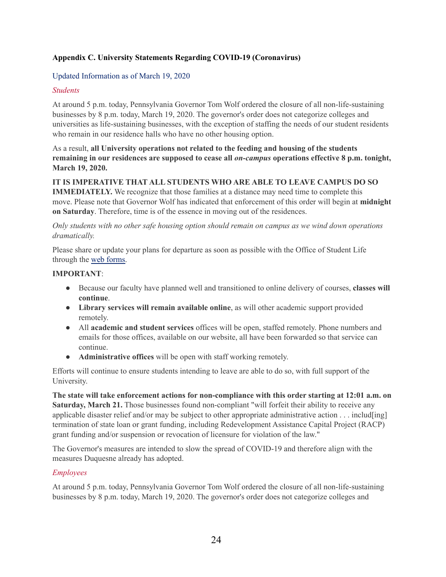## <span id="page-24-0"></span>**Appendix C. University Statements Regarding COVID-19 (Coronavirus)**

## Updated Information as of March 19, 2020

## *Students*

At around 5 p.m. today, Pennsylvania Governor Tom Wolf ordered the closure of all non-life-sustaining businesses by 8 p.m. today, March 19, 2020. The governor's order does not categorize colleges and universities as life-sustaining businesses, with the exception of staffing the needs of our student residents who remain in our residence halls who have no other housing option.

## As a result, **all University operations not related to the feeding and housing of the students remaining in our residences are supposed to cease all** *on-campus* **operations effective 8 p.m. tonight, March 19, 2020.**

## **IT IS IMPERATIVE THAT ALL STUDENTS WHO ARE ABLE TO LEAVE CAMPUS DO SO**

**IMMEDIATELY.** We recognize that those families at a distance may need time to complete this move. Please note that Governor Wolf has indicated that enforcement of this order will begin at **midnight on Saturday**. Therefore, time is of the essence in moving out of the residences.

## *Only students with no other safe housing option should remain on campus as we wind down operations dramatically.*

Please share or update your plans for departure as soon as possible with the Office of Student Life through the web [forms.](https://duq.edu/life-at-duquesne/residence-life/residential-student-move-out-information)

## **IMPORTANT**:

- Because our faculty have planned well and transitioned to online delivery of courses, **classes will continue**.
- **Library services will remain available online**, as will other academic support provided remotely.
- All **academic and student services** offices will be open, staffed remotely. Phone numbers and emails for those offices, available on our website, all have been forwarded so that service can continue.
- **Administrative offices** will be open with staff working remotely.

Efforts will continue to ensure students intending to leave are able to do so, with full support of the University.

**The state will take enforcement actions for non-compliance with this order starting at 12:01 a.m. on Saturday, March 21.** Those businesses found non-compliant "will forfeit their ability to receive any applicable disaster relief and/or may be subject to other appropriate administrative action . . . includ[ing] termination of state loan or grant funding, including Redevelopment Assistance Capital Project (RACP) grant funding and/or suspension or revocation of licensure for violation of the law."

The Governor's measures are intended to slow the spread of COVID-19 and therefore align with the measures Duquesne already has adopted.

## *Employees*

At around 5 p.m. today, Pennsylvania Governor Tom Wolf ordered the closure of all non-life-sustaining businesses by 8 p.m. today, March 19, 2020. The governor's order does not categorize colleges and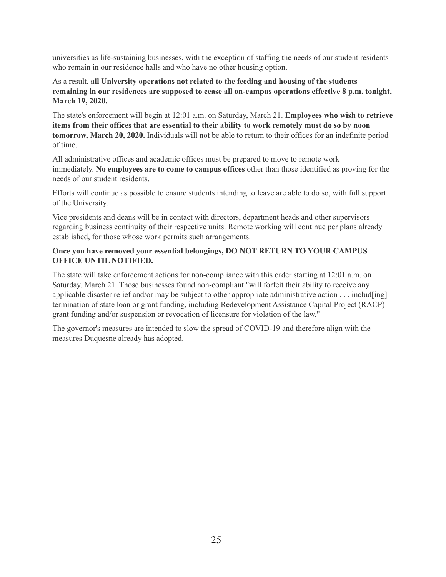universities as life-sustaining businesses, with the exception of staffing the needs of our student residents who remain in our residence halls and who have no other housing option.

As a result, **all University operations not related to the feeding and housing of the students remaining in our residences are supposed to cease all on-campus operations effective 8 p.m. tonight, March 19, 2020.**

The state's enforcement will begin at 12:01 a.m. on Saturday, March 21. **Employees who wish to retrieve items from their offices that are essential to their ability to work remotely must do so by noon tomorrow, March 20, 2020.** Individuals will not be able to return to their offices for an indefinite period of time.

All administrative offices and academic offices must be prepared to move to remote work immediately. **No employees are to come to campus offices** other than those identified as proving for the needs of our student residents.

Efforts will continue as possible to ensure students intending to leave are able to do so, with full support of the University.

Vice presidents and deans will be in contact with directors, department heads and other supervisors regarding business continuity of their respective units. Remote working will continue per plans already established, for those whose work permits such arrangements.

## **Once you have removed your essential belongings, DO NOT RETURN TO YOUR CAMPUS OFFICE UNTIL NOTIFIED.**

The state will take enforcement actions for non-compliance with this order starting at 12:01 a.m. on Saturday, March 21. Those businesses found non-compliant "will forfeit their ability to receive any applicable disaster relief and/or may be subject to other appropriate administrative action . . . includ[ing] termination of state loan or grant funding, including Redevelopment Assistance Capital Project (RACP) grant funding and/or suspension or revocation of licensure for violation of the law."

The governor's measures are intended to slow the spread of COVID-19 and therefore align with the measures Duquesne already has adopted.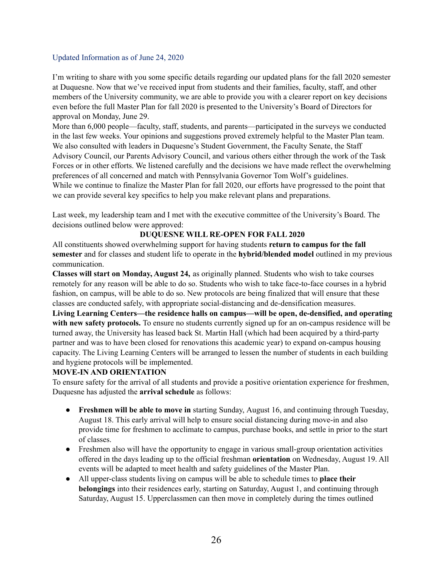## Updated Information as of June 24, 2020

I'm writing to share with you some specific details regarding our updated plans for the fall 2020 semester at Duquesne. Now that we've received input from students and their families, faculty, staff, and other members of the University community, we are able to provide you with a clearer report on key decisions even before the full Master Plan for fall 2020 is presented to the University's Board of Directors for approval on Monday, June 29.

More than 6,000 people—faculty, staff, students, and parents—participated in the surveys we conducted in the last few weeks. Your opinions and suggestions proved extremely helpful to the Master Plan team. We also consulted with leaders in Duquesne's Student Government, the Faculty Senate, the Staff Advisory Council, our Parents Advisory Council, and various others either through the work of the Task Forces or in other efforts. We listened carefully and the decisions we have made reflect the overwhelming preferences of all concerned and match with Pennsylvania Governor Tom Wolf's guidelines. While we continue to finalize the Master Plan for fall 2020, our efforts have progressed to the point that we can provide several key specifics to help you make relevant plans and preparations.

Last week, my leadership team and I met with the executive committee of the University's Board. The decisions outlined below were approved:

## **DUQUESNE WILL RE-OPEN FOR FALL 2020**

All constituents showed overwhelming support for having students **return to campus for the fall semester** and for classes and student life to operate in the **hybrid/blended model** outlined in my previous communication.

**Classes will start on Monday, August 24,** as originally planned. Students who wish to take courses remotely for any reason will be able to do so. Students who wish to take face-to-face courses in a hybrid fashion, on campus, will be able to do so. New protocols are being finalized that will ensure that these classes are conducted safely, with appropriate social-distancing and de-densification measures.

**Living Learning Centers—the residence halls on campus—will be open, de-densified, and operating with new safety protocols.** To ensure no students currently signed up for an on-campus residence will be turned away, the University has leased back St. Martin Hall (which had been acquired by a third-party partner and was to have been closed for renovations this academic year) to expand on-campus housing capacity. The Living Learning Centers will be arranged to lessen the number of students in each building and hygiene protocols will be implemented.

## **MOVE-IN AND ORIENTATION**

To ensure safety for the arrival of all students and provide a positive orientation experience for freshmen, Duquesne has adjusted the **arrival schedule** as follows:

- **Freshmen will be able to move in** starting Sunday, August 16, and continuing through Tuesday, August 18. This early arrival will help to ensure social distancing during move-in and also provide time for freshmen to acclimate to campus, purchase books, and settle in prior to the start of classes.
- Freshmen also will have the opportunity to engage in various small-group orientation activities offered in the days leading up to the official freshman **orientation** on Wednesday, August 19. All events will be adapted to meet health and safety guidelines of the Master Plan.
- All upper-class students living on campus will be able to schedule times to **place their belongings** into their residences early, starting on Saturday, August 1, and continuing through Saturday, August 15. Upperclassmen can then move in completely during the times outlined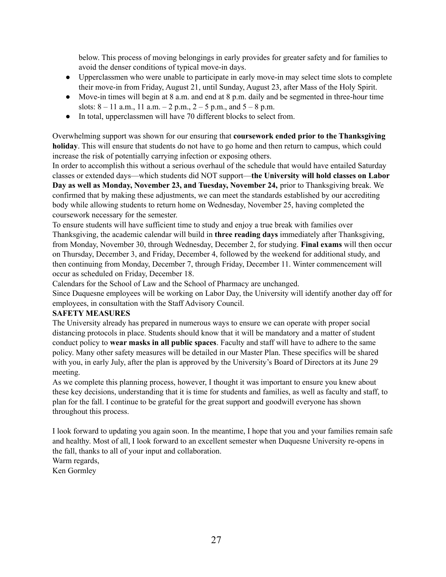below. This process of moving belongings in early provides for greater safety and for families to avoid the denser conditions of typical move-in days.

- Upperclassmen who were unable to participate in early move-in may select time slots to complete their move-in from Friday, August 21, until Sunday, August 23, after Mass of the Holy Spirit.
- Move-in times will begin at 8 a.m. and end at 8 p.m. daily and be segmented in three-hour time slots:  $8 - 11$  a.m.,  $11$  a.m.  $- 2$  p.m.,  $2 - 5$  p.m., and  $5 - 8$  p.m.
- In total, upperclassmen will have 70 different blocks to select from.

Overwhelming support was shown for our ensuring that **coursework ended prior to the Thanksgiving holiday**. This will ensure that students do not have to go home and then return to campus, which could increase the risk of potentially carrying infection or exposing others.

In order to accomplish this without a serious overhaul of the schedule that would have entailed Saturday classes or extended days—which students did NOT support—**the University will hold classes on Labor Day as well as Monday, November 23, and Tuesday, November 24,** prior to Thanksgiving break. We confirmed that by making these adjustments, we can meet the standards established by our accrediting body while allowing students to return home on Wednesday, November 25, having completed the coursework necessary for the semester.

To ensure students will have sufficient time to study and enjoy a true break with families over Thanksgiving, the academic calendar will build in **three reading days** immediately after Thanksgiving, from Monday, November 30, through Wednesday, December 2, for studying. **Final exams** will then occur on Thursday, December 3, and Friday, December 4, followed by the weekend for additional study, and then continuing from Monday, December 7, through Friday, December 11. Winter commencement will occur as scheduled on Friday, December 18.

Calendars for the School of Law and the School of Pharmacy are unchanged.

Since Duquesne employees will be working on Labor Day, the University will identify another day off for employees, in consultation with the Staff Advisory Council.

## **SAFETY MEASURES**

The University already has prepared in numerous ways to ensure we can operate with proper social distancing protocols in place. Students should know that it will be mandatory and a matter of student conduct policy to **wear masks in all public spaces**. Faculty and staff will have to adhere to the same policy. Many other safety measures will be detailed in our Master Plan. These specifics will be shared with you, in early July, after the plan is approved by the University's Board of Directors at its June 29 meeting.

As we complete this planning process, however, I thought it was important to ensure you knew about these key decisions, understanding that it is time for students and families, as well as faculty and staff, to plan for the fall. I continue to be grateful for the great support and goodwill everyone has shown throughout this process.

I look forward to updating you again soon. In the meantime, I hope that you and your families remain safe and healthy. Most of all, I look forward to an excellent semester when Duquesne University re-opens in the fall, thanks to all of your input and collaboration. Warm regards,

Ken Gormley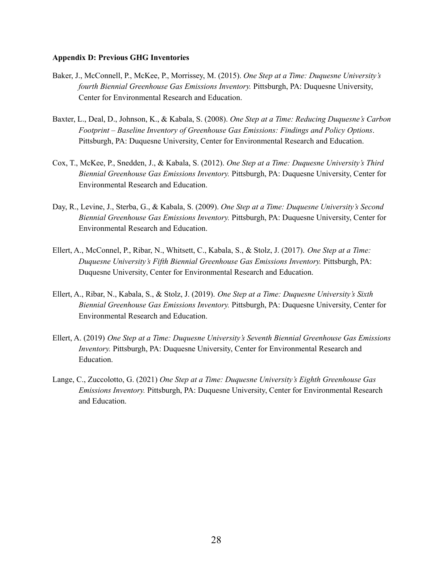#### <span id="page-28-0"></span>**Appendix D: Previous GHG Inventories**

- Baker, J., McConnell, P., McKee, P., Morrissey, M. (2015). *One Step at a Time: Duquesne University's fourth Biennial Greenhouse Gas Emissions Inventory.* Pittsburgh, PA: Duquesne University, Center for Environmental Research and Education.
- Baxter, L., Deal, D., Johnson, K., & Kabala, S. (2008). *One Step at a Time: Reducing Duquesne's Carbon Footprint – Baseline Inventory of Greenhouse Gas Emissions: Findings and Policy Options*. Pittsburgh, PA: Duquesne University, Center for Environmental Research and Education.
- Cox, T., McKee, P., Snedden, J., & Kabala, S. (2012). *One Step at a Time: Duquesne University's Third Biennial Greenhouse Gas Emissions Inventory.* Pittsburgh, PA: Duquesne University, Center for Environmental Research and Education.
- Day, R., Levine, J., Sterba, G., & Kabala, S. (2009). *One Step at a Time: Duquesne University's Second Biennial Greenhouse Gas Emissions Inventory.* Pittsburgh, PA: Duquesne University, Center for Environmental Research and Education.
- Ellert, A., McConnel, P., Ribar, N., Whitsett, C., Kabala, S., & Stolz, J. (2017). *One Step at a Time: Duquesne University's Fifth Biennial Greenhouse Gas Emissions Inventory.* Pittsburgh, PA: Duquesne University, Center for Environmental Research and Education.
- Ellert, A., Ribar, N., Kabala, S., & Stolz, J. (2019). *One Step at a Time: Duquesne University's Sixth Biennial Greenhouse Gas Emissions Inventory.* Pittsburgh, PA: Duquesne University, Center for Environmental Research and Education.
- Ellert, A. (2019) *One Step at a Time: Duquesne University's Seventh Biennial Greenhouse Gas Emissions Inventory.* Pittsburgh, PA: Duquesne University, Center for Environmental Research and Education.
- Lange, C., Zuccolotto, G. (2021) *One Step at a Time: Duquesne University's Eighth Greenhouse Gas Emissions Inventory.* Pittsburgh, PA: Duquesne University, Center for Environmental Research and Education.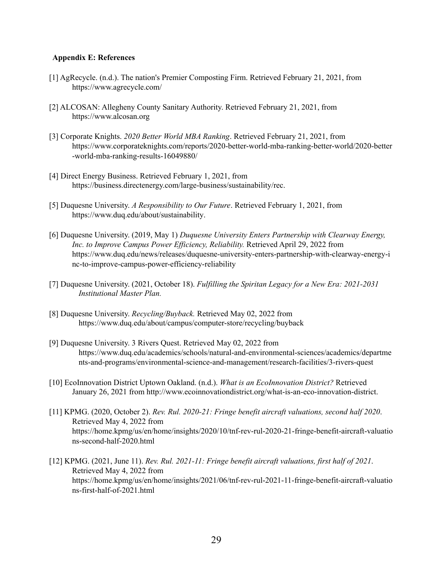#### <span id="page-29-0"></span>**Appendix E: References**

- [1] AgRecycle. (n.d.). The nation's Premier Composting Firm. Retrieved February 21, 2021, from https://www.agrecycle.com/
- [2] ALCOSAN: Allegheny County Sanitary Authority. Retrieved February 21, 2021, from https://www.alcosan.org
- [3] Corporate Knights. *2020 Better World MBA Ranking*. Retrieved February 21, 2021, from https://www.corporateknights.com/reports/2020-better-world-mba-ranking-better-world/2020-better -world-mba-ranking-results-16049880/
- [4] Direct Energy Business. Retrieved February 1, 2021, from https://business.directenergy.com/large-business/sustainability/rec.
- [5] Duquesne University. *A Responsibility to Our Future*. Retrieved February 1, 2021, from [https://www.duq.edu/about/sustainability.](https://www.duq.edu/about/sustainability)
- [6] Duquesne University. (2019, May 1) *Duquesne University Enters Partnership with Clearway Energy, Inc. to Improve Campus Power Ef iciency, Reliability.* Retrieved April 29, 2022 from [https://www.duq.edu/news/releases/duquesne-university-enters-partnership-with-clearway-energy-i](https://www.duq.edu/news/releases/duquesne-university-enters-partnership-with-clearway-energy-inc-to-improve-campus-power-efficiency-reliability) [nc-to-improve-campus-power-efficiency-reliability](https://www.duq.edu/news/releases/duquesne-university-enters-partnership-with-clearway-energy-inc-to-improve-campus-power-efficiency-reliability)
- [7] Duquesne University. (2021, October 18). *Fulfilling the Spiritan Legacy for a New Era: 2021-2031 Institutional Master Plan.*
- [8] Duquesne University. *Recycling/Buyback.* Retrieved May 02, 2022 from <https://www.duq.edu/about/campus/computer-store/recycling/buyback>
- [9] Duquesne University. 3 Rivers Quest. Retrieved May 02, 2022 from [https://www.duq.edu/academics/schools/natural-and-environmental-sciences/academics/departme](https://www.duq.edu/academics/schools/natural-and-environmental-sciences/academics/departments-and-programs/environmental-science-and-management/research-facilities/3-rivers-quest) [nts-and-programs/environmental-science-and-management/research-facilities/3-rivers-quest](https://www.duq.edu/academics/schools/natural-and-environmental-sciences/academics/departments-and-programs/environmental-science-and-management/research-facilities/3-rivers-quest)
- [10] EcoInnovation District Uptown Oakland. (n.d.). *What is an EcoInnovation District?* Retrieved January 26, 2021 from [http://www.ecoinnovationdistrict.org/what-is-an-eco-innovation-district.](http://www.ecoinnovationdistrict.org/what-is-an-eco-innovation-district)
- [11] KPMG. (2020, October 2). *Rev. Rul. 2020-21: Fringe benefit aircraft valuations, second half 2020*. Retrieved May 4, 2022 from [https://home.kpmg/us/en/home/insights/2020/10/tnf-rev-rul-2020-21-fringe-benefit-aircraft-valuatio](https://home.kpmg/us/en/home/insights/2020/10/tnf-rev-rul-2020-21-fringe-benefit-aircraft-valuations-second-half-2020.html) [ns-second-half-2020.html](https://home.kpmg/us/en/home/insights/2020/10/tnf-rev-rul-2020-21-fringe-benefit-aircraft-valuations-second-half-2020.html)
- [12] KPMG. (2021, June 11). *Rev. Rul. 2021-11: Fringe benefit aircraft valuations, first half of 2021*. Retrieved May 4, 2022 from [https://home.kpmg/us/en/home/insights/2021/06/tnf-rev-rul-2021-11-fringe-benefit-aircraft-valuatio](https://home.kpmg/us/en/home/insights/2021/06/tnf-rev-rul-2021-11-fringe-benefit-aircraft-valuations-first-half-of-2021.html) [ns-first-half-of-2021.html](https://home.kpmg/us/en/home/insights/2021/06/tnf-rev-rul-2021-11-fringe-benefit-aircraft-valuations-first-half-of-2021.html)